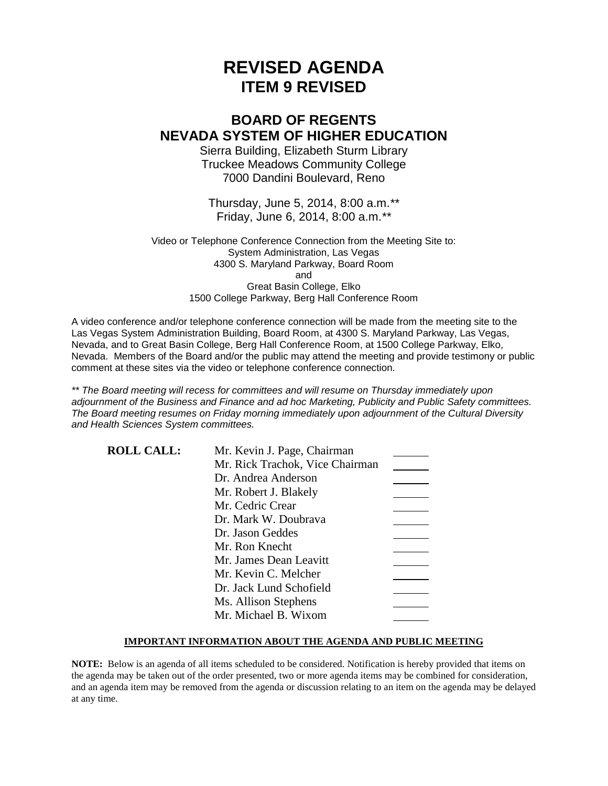# **REVISED AGENDA ITEM 9 REVISED**

# **BOARD OF REGENTS NEVADA SYSTEM OF HIGHER EDUCATION**

Sierra Building, Elizabeth Sturm Library Truckee Meadows Community College 7000 Dandini Boulevard, Reno

Thursday, June 5, 2014, 8:00 a.m.*\*\** Friday, June 6, 2014, 8:00 a.m.*\*\**

Video or Telephone Conference Connection from the Meeting Site to: System Administration, Las Vegas 4300 S. Maryland Parkway, Board Room and Great Basin College, Elko 1500 College Parkway, Berg Hall Conference Room

A video conference and/or telephone conference connection will be made from the meeting site to the Las Vegas System Administration Building, Board Room, at 4300 S. Maryland Parkway, Las Vegas, Nevada, and to Great Basin College, Berg Hall Conference Room, at 1500 College Parkway, Elko, Nevada. Members of the Board and/or the public may attend the meeting and provide testimony or public comment at these sites via the video or telephone conference connection.

*\*\* The Board meeting will recess for committees and will resume on Thursday immediately upon adjournment of the Business and Finance and ad hoc Marketing, Publicity and Public Safety committees. The Board meeting resumes on Friday morning immediately upon adjournment of the Cultural Diversity and Health Sciences System committees.*

| <b>ROLL CALL:</b> | Mr. Kevin J. Page, Chairman     |  |
|-------------------|---------------------------------|--|
|                   | Mr. Rick Trachok, Vice Chairman |  |
|                   | Dr. Andrea Anderson             |  |
|                   | Mr. Robert J. Blakely           |  |
|                   | Mr. Cedric Crear                |  |
|                   | Dr. Mark W. Doubrava            |  |
|                   | Dr. Jason Geddes                |  |
|                   | Mr. Ron Knecht                  |  |
|                   | Mr. James Dean Leavitt          |  |
|                   | Mr. Kevin C. Melcher            |  |
|                   | Dr. Jack Lund Schofield         |  |
|                   | Ms. Allison Stephens            |  |
|                   | Mr. Michael B. Wixom            |  |

### **IMPORTANT INFORMATION ABOUT THE AGENDA AND PUBLIC MEETING**

**NOTE:** Below is an agenda of all items scheduled to be considered. Notification is hereby provided that items on the agenda may be taken out of the order presented, two or more agenda items may be combined for consideration, and an agenda item may be removed from the agenda or discussion relating to an item on the agenda may be delayed at any time.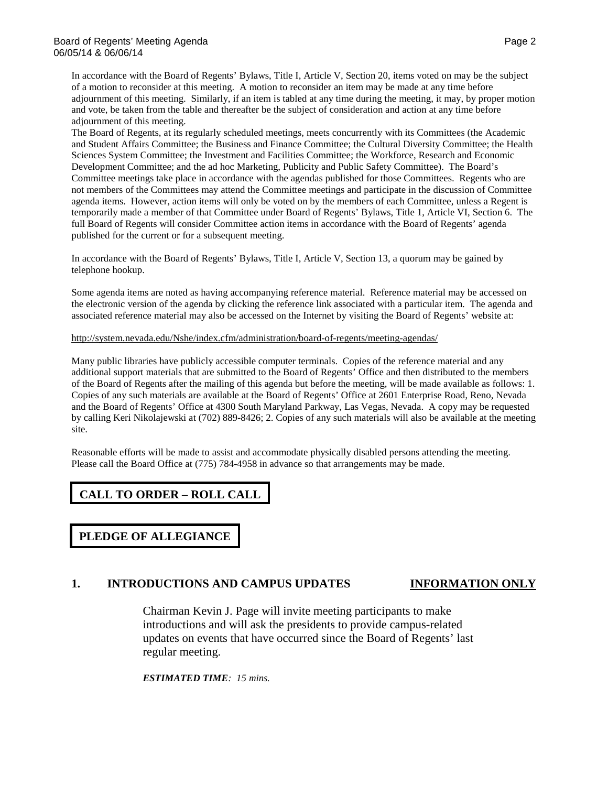In accordance with the Board of Regents' Bylaws, Title I, Article V, Section 20, items voted on may be the subject of a motion to reconsider at this meeting. A motion to reconsider an item may be made at any time before adjournment of this meeting. Similarly, if an item is tabled at any time during the meeting, it may, by proper motion and vote, be taken from the table and thereafter be the subject of consideration and action at any time before adjournment of this meeting.

The Board of Regents, at its regularly scheduled meetings, meets concurrently with its Committees (the Academic and Student Affairs Committee; the Business and Finance Committee; the Cultural Diversity Committee; the Health Sciences System Committee; the Investment and Facilities Committee; the Workforce, Research and Economic Development Committee; and the ad hoc Marketing, Publicity and Public Safety Committee). The Board's Committee meetings take place in accordance with the agendas published for those Committees. Regents who are not members of the Committees may attend the Committee meetings and participate in the discussion of Committee agenda items. However, action items will only be voted on by the members of each Committee, unless a Regent is temporarily made a member of that Committee under Board of Regents' Bylaws, Title 1, Article VI, Section 6. The full Board of Regents will consider Committee action items in accordance with the Board of Regents' agenda published for the current or for a subsequent meeting.

In accordance with the Board of Regents' Bylaws, Title I, Article V, Section 13, a quorum may be gained by telephone hookup.

Some agenda items are noted as having accompanying reference material. Reference material may be accessed on the electronic version of the agenda by clicking the reference link associated with a particular item. The agenda and associated reference material may also be accessed on the Internet by visiting the Board of Regents' website at:

<http://system.nevada.edu/Nshe/index.cfm/administration/board-of-regents/meeting-agendas/>

Many public libraries have publicly accessible computer terminals. Copies of the reference material and any additional support materials that are submitted to the Board of Regents' Office and then distributed to the members of the Board of Regents after the mailing of this agenda but before the meeting, will be made available as follows: 1. Copies of any such materials are available at the Board of Regents' Office at 2601 Enterprise Road, Reno, Nevada and the Board of Regents' Office at 4300 South Maryland Parkway, Las Vegas, Nevada. A copy may be requested by calling Keri Nikolajewski at (702) 889-8426; 2. Copies of any such materials will also be available at the meeting site.

Reasonable efforts will be made to assist and accommodate physically disabled persons attending the meeting. Please call the Board Office at (775) 784-4958 in advance so that arrangements may be made.

# **CALL TO ORDER – ROLL CALL**

**PLEDGE OF ALLEGIANCE**

# **1. INTRODUCTIONS AND CAMPUS UPDATES INFORMATION ONLY**

Chairman Kevin J. Page will invite meeting participants to make introductions and will ask the presidents to provide campus-related updates on events that have occurred since the Board of Regents' last regular meeting.

*ESTIMATED TIME: 15 mins.*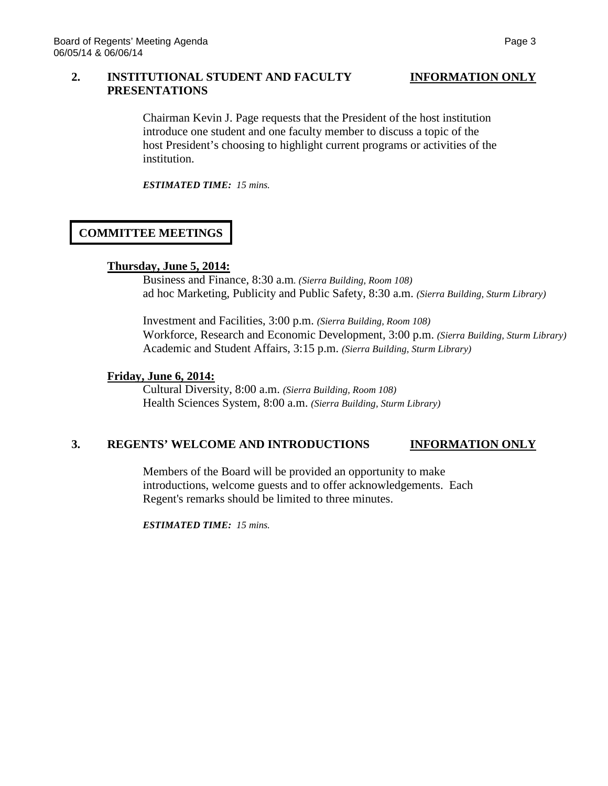### **2. INSTITUTIONAL STUDENT AND FACULTY INFORMATION ONLY PRESENTATIONS**

Chairman Kevin J. Page requests that the President of the host institution introduce one student and one faculty member to discuss a topic of the host President's choosing to highlight current programs or activities of the institution.

*ESTIMATED TIME: 15 mins.*

# **COMMITTEE MEETINGS**

# **Thursday, June 5, 2014:**

Business and Finance, 8:30 a.m*. (Sierra Building, Room 108)* ad hoc Marketing, Publicity and Public Safety, 8:30 a.m. *(Sierra Building, Sturm Library)*

Investment and Facilities, 3:00 p.m. *(Sierra Building, Room 108)* Workforce, Research and Economic Development, 3:00 p.m. *(Sierra Building, Sturm Library)* Academic and Student Affairs, 3:15 p.m. *(Sierra Building, Sturm Library)*

# **Friday, June 6, 2014:**

Cultural Diversity, 8:00 a.m. *(Sierra Building, Room 108)* Health Sciences System, 8:00 a.m. *(Sierra Building, Sturm Library)*

## **3. REGENTS' WELCOME AND INTRODUCTIONS INFORMATION ONLY**

Members of the Board will be provided an opportunity to make introductions, welcome guests and to offer acknowledgements. Each Regent's remarks should be limited to three minutes.

*ESTIMATED TIME: 15 mins.*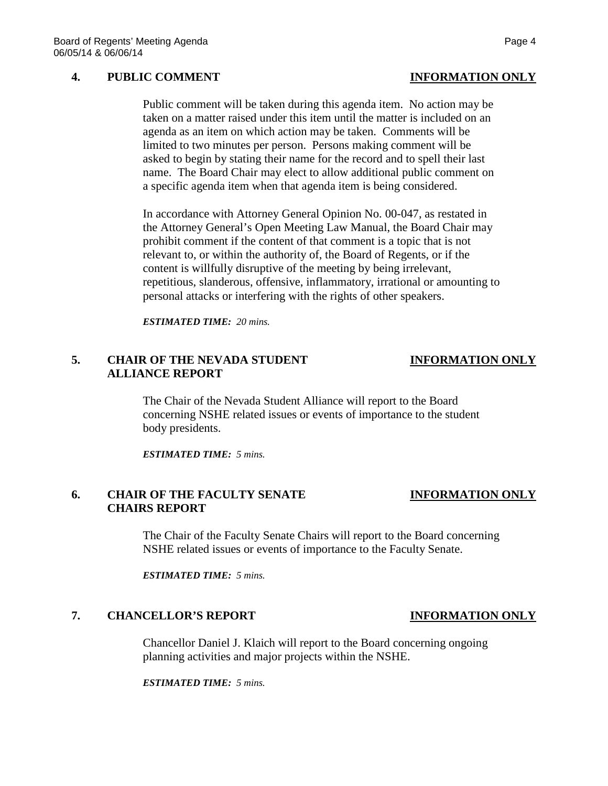### **4. PUBLIC COMMENT INFORMATION ONLY**

Public comment will be taken during this agenda item. No action may be taken on a matter raised under this item until the matter is included on an agenda as an item on which action may be taken. Comments will be limited to two minutes per person. Persons making comment will be asked to begin by stating their name for the record and to spell their last name. The Board Chair may elect to allow additional public comment on a specific agenda item when that agenda item is being considered.

In accordance with Attorney General Opinion No. 00-047, as restated in the Attorney General's Open Meeting Law Manual, the Board Chair may prohibit comment if the content of that comment is a topic that is not relevant to, or within the authority of, the Board of Regents, or if the content is willfully disruptive of the meeting by being irrelevant, repetitious, slanderous, offensive, inflammatory, irrational or amounting to personal attacks or interfering with the rights of other speakers.

*ESTIMATED TIME: 20 mins.*

# **5. CHAIR OF THE NEVADA STUDENT INFORMATION ONLY ALLIANCE REPORT**

The Chair of the Nevada Student Alliance will report to the Board concerning NSHE related issues or events of importance to the student body presidents.

*ESTIMATED TIME: 5 mins.*

### **6. CHAIR OF THE FACULTY SENATE INFORMATION ONLY CHAIRS REPORT**

The Chair of the Faculty Senate Chairs will report to the Board concerning NSHE related issues or events of importance to the Faculty Senate.

*ESTIMATED TIME: 5 mins.*

### **7. CHANCELLOR'S REPORT INFORMATION ONLY**

Chancellor Daniel J. Klaich will report to the Board concerning ongoing planning activities and major projects within the NSHE.

*ESTIMATED TIME: 5 mins.*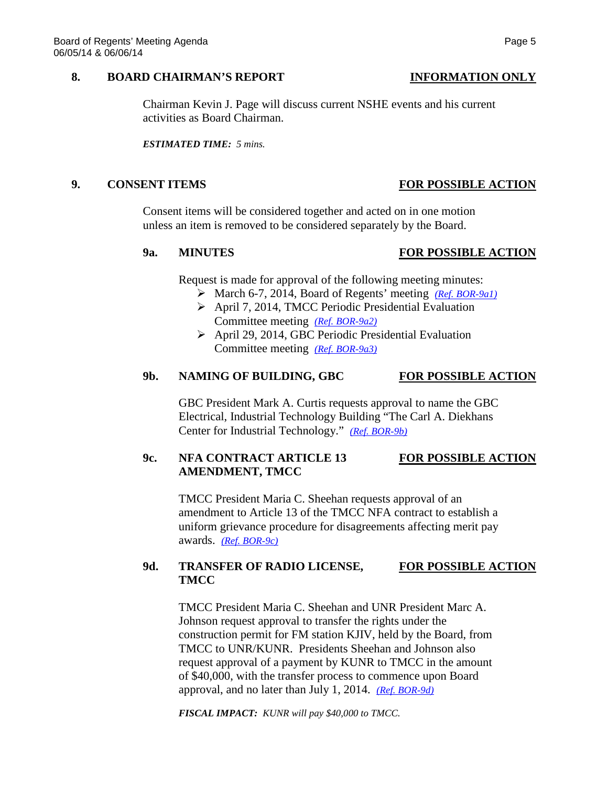### **8. BOARD CHAIRMAN'S REPORT INFORMATION ONLY**

Chairman Kevin J. Page will discuss current NSHE events and his current activities as Board Chairman.

*ESTIMATED TIME: 5 mins.*

### **9. CONSENT ITEMS FOR POSSIBLE ACTION**

Consent items will be considered together and acted on in one motion unless an item is removed to be considered separately by the Board.

### Request is made for approval of the following meeting minutes:

- March 6-7, 2014, Board of Regents' meeting *[\(Ref. BOR-9a1\)](http://system.nevada.edu/tasks/sites/Nshe/assets/File/BoardOfRegents/Agendas/2014/jun-mtgs/bor-refs/BOR-9a1.pdf)*
- April 7, 2014, TMCC Periodic Presidential Evaluation Committee meeting *[\(Ref. BOR-9a2\)](http://system.nevada.edu/tasks/sites/Nshe/assets/File/BoardOfRegents/Agendas/2014/jun-mtgs/bor-refs/BOR-9a2.pdf)*
- April 29, 2014, GBC Periodic Presidential Evaluation Committee meeting *[\(Ref. BOR-9a3\)](http://system.nevada.edu/tasks/sites/Nshe/assets/File/BoardOfRegents/Agendas/2014/jun-mtgs/bor-refs/BOR-9a3.pdf)*

### **9b. NAMING OF BUILDING, GBC FOR POSSIBLE ACTION**

GBC President Mark A. Curtis requests approval to name the GBC Electrical, Industrial Technology Building "The Carl A. Diekhans Center for Industrial Technology." *[\(Ref. BOR-9b\)](http://system.nevada.edu/tasks/sites/Nshe/assets/File/BoardOfRegents/Agendas/2014/jun-mtgs/bor-refs/BOR-9b%20REVISED.pdf)*

# **9c. NFA CONTRACT ARTICLE 13 FOR POSSIBLE ACTION AMENDMENT, TMCC**

TMCC President Maria C. Sheehan requests approval of an amendment to Article 13 of the TMCC NFA contract to establish a uniform grievance procedure for disagreements affecting merit pay awards. *[\(Ref. BOR-9c\)](http://system.nevada.edu/tasks/sites/Nshe/assets/File/BoardOfRegents/Agendas/2014/jun-mtgs/bor-refs/BOR-9c.pdf)*

# **9d. TRANSFER OF RADIO LICENSE, FOR POSSIBLE ACTION TMCC**

TMCC President Maria C. Sheehan and UNR President Marc A. Johnson request approval to transfer the rights under the construction permit for FM station KJIV, held by the Board, from TMCC to UNR/KUNR. Presidents Sheehan and Johnson also request approval of a payment by KUNR to TMCC in the amount of \$40,000, with the transfer process to commence upon Board approval, and no later than July 1, 2014. *[\(Ref. BOR-9d\)](http://system.nevada.edu/tasks/sites/Nshe/assets/File/BoardOfRegents/Agendas/2014/jun-mtgs/bor-refs/BOR-9d.PDF)*

*FISCAL IMPACT: KUNR will pay \$40,000 to TMCC.*

# **9a. MINUTES FOR POSSIBLE ACTION**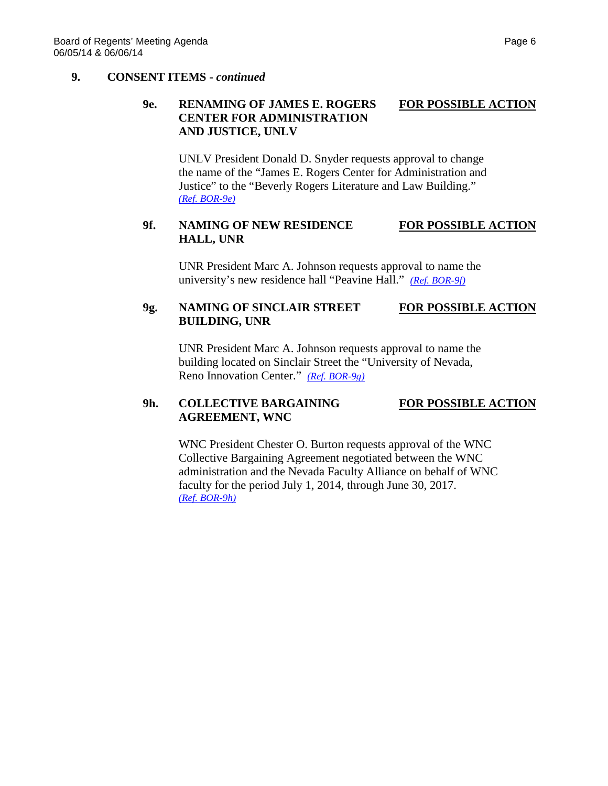### **9. CONSENT ITEMS -** *continued*

# **9e. RENAMING OF JAMES E. ROGERS FOR POSSIBLE ACTION CENTER FOR ADMINISTRATION AND JUSTICE, UNLV**

UNLV President Donald D. Snyder requests approval to change the name of the "James E. Rogers Center for Administration and Justice" to the "Beverly Rogers Literature and Law Building." *[\(Ref. BOR-9e\)](http://system.nevada.edu/tasks/sites/Nshe/assets/File/BoardOfRegents/Agendas/2014/jun-mtgs/bor-refs/BOR-9e.pdf)*

# **9f. NAMING OF NEW RESIDENCE FOR POSSIBLE ACTION HALL, UNR**

UNR President Marc A. Johnson requests approval to name the university's new residence hall "Peavine Hall." *[\(Ref. BOR-9f\)](http://system.nevada.edu/tasks/sites/Nshe/assets/File/BoardOfRegents/Agendas/2014/jun-mtgs/bor-refs/BOR-9f.pdf)*

# **9g. NAMING OF SINCLAIR STREET FOR POSSIBLE ACTION BUILDING, UNR**

UNR President Marc A. Johnson requests approval to name the building located on Sinclair Street the "University of Nevada, Reno Innovation Center." *[\(Ref. BOR-9g\)](http://system.nevada.edu/tasks/sites/Nshe/assets/File/BoardOfRegents/Agendas/2014/jun-mtgs/bor-refs/BOR-9g.pdf)*

# **9h. COLLECTIVE BARGAINING FOR POSSIBLE ACTION AGREEMENT, WNC**

WNC President Chester O. Burton requests approval of the WNC Collective Bargaining Agreement negotiated between the WNC administration and the Nevada Faculty Alliance on behalf of WNC faculty for the period July 1, 2014, through June 30, 2017. *[\(Ref. BOR-9h\)](http://system.nevada.edu/tasks/sites/Nshe/assets/File/BoardOfRegents/Agendas/2014/jun-mtgs/bor-refs/BOR-9h.pdf)*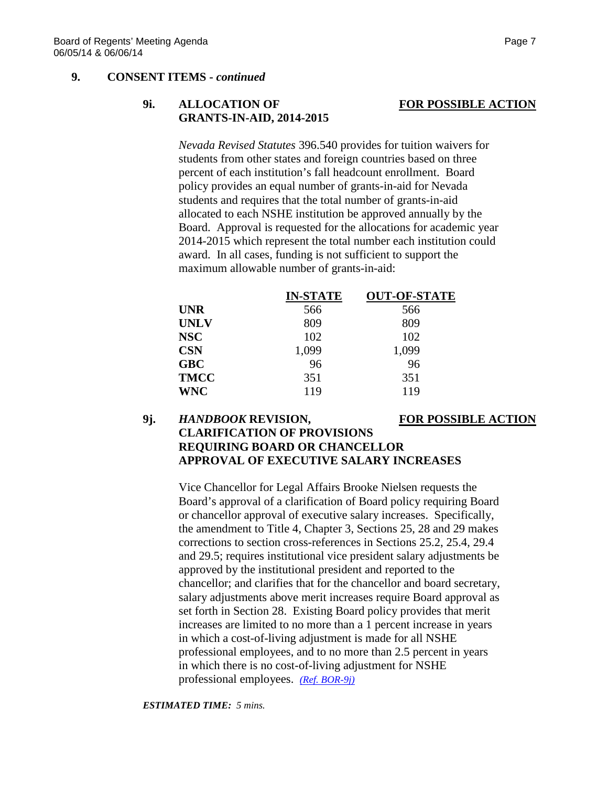### **9. CONSENT ITEMS -** *continued*

# **9i. ALLOCATION OF FOR POSSIBLE ACTION GRANTS-IN-AID, 2014-2015**

*Nevada Revised Statutes* 396.540 provides for tuition waivers for students from other states and foreign countries based on three percent of each institution's fall headcount enrollment. Board policy provides an equal number of grants-in-aid for Nevada students and requires that the total number of grants-in-aid allocated to each NSHE institution be approved annually by the Board. Approval is requested for the allocations for academic year 2014-2015 which represent the total number each institution could award. In all cases, funding is not sufficient to support the maximum allowable number of grants-in-aid:

|             | <b>IN-STATE</b> | <b>OUT-OF-STATE</b> |
|-------------|-----------------|---------------------|
| <b>UNR</b>  | 566             | 566                 |
| <b>UNLV</b> | 809             | 809                 |
| <b>NSC</b>  | 102             | 102                 |
| <b>CSN</b>  | 1,099           | 1,099               |
| <b>GBC</b>  | 96              | 96                  |
| <b>TMCC</b> | 351             | 351                 |
| <b>WNC</b>  | 119             | 119                 |

# **9j.** *HANDBOOK* **REVISION, FOR POSSIBLE ACTION CLARIFICATION OF PROVISIONS REQUIRING BOARD OR CHANCELLOR APPROVAL OF EXECUTIVE SALARY INCREASES**

Vice Chancellor for Legal Affairs Brooke Nielsen requests the Board's approval of a clarification of Board policy requiring Board or chancellor approval of executive salary increases. Specifically, the amendment to Title 4, Chapter 3, Sections 25, 28 and 29 makes corrections to section cross-references in Sections 25.2, 25.4, 29.4 and 29.5; requires institutional vice president salary adjustments be approved by the institutional president and reported to the chancellor; and clarifies that for the chancellor and board secretary, salary adjustments above merit increases require Board approval as set forth in Section 28. Existing Board policy provides that merit increases are limited to no more than a 1 percent increase in years in which a cost-of-living adjustment is made for all NSHE professional employees, and to no more than 2.5 percent in years in which there is no cost-of-living adjustment for NSHE professional employees. *[\(Ref. BOR-9j\)](http://system.nevada.edu/tasks/sites/Nshe/assets/File/BoardOfRegents/Agendas/2014/jun-mtgs/bor-refs/BOR-9j.pdf)*

*ESTIMATED TIME: 5 mins.*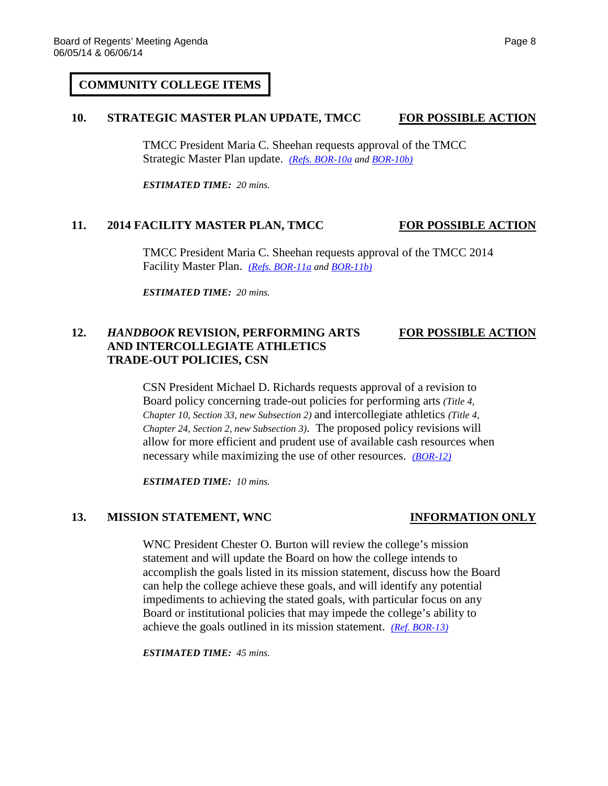### **COMMUNITY COLLEGE ITEMS**

### **10. STRATEGIC MASTER PLAN UPDATE, TMCC FOR POSSIBLE ACTION**

TMCC President Maria C. Sheehan requests approval of the TMCC Strategic Master Plan update. *[\(Refs. BOR-10a](http://system.nevada.edu/tasks/sites/Nshe/assets/File/BoardOfRegents/Agendas/2014/jun-mtgs/bor-refs/BOR-10a.pdf) an[d BOR-10b\)](http://system.nevada.edu/tasks/sites/Nshe/assets/File/BoardOfRegents/Agendas/2014/jun-mtgs/bor-refs/BOR-10b.pdf)*

*ESTIMATED TIME: 20 mins.*

### **11. 2014 FACILITY MASTER PLAN, TMCC FOR POSSIBLE ACTION**

TMCC President Maria C. Sheehan requests approval of the TMCC 2014 Facility Master Plan. *[\(Refs. BOR-11a](http://system.nevada.edu/tasks/sites/Nshe/assets/File/BoardOfRegents/Agendas/2014/jun-mtgs/bor-refs/BOR-11a.pdf) an[d BOR-11b\)](http://system.nevada.edu/tasks/sites/Nshe/assets/File/BoardOfRegents/Agendas/2014/jun-mtgs/bor-refs/BOR-11b.pdf)*

*ESTIMATED TIME: 20 mins.*

# **12.** *HANDBOOK* **REVISION, PERFORMING ARTS FOR POSSIBLE ACTION AND INTERCOLLEGIATE ATHLETICS TRADE-OUT POLICIES, CSN**

CSN President Michael D. Richards requests approval of a revision to Board policy concerning trade-out policies for performing arts *(Title 4, Chapter 10, Section 33, new Subsection 2)* and intercollegiate athletics *(Title 4, Chapter 24, Section 2, new Subsection 3)*. The proposed policy revisions will allow for more efficient and prudent use of available cash resources when necessary while maximizing the use of other resources. *[\(BOR-12\)](http://system.nevada.edu/tasks/sites/Nshe/assets/File/BoardOfRegents/Agendas/2014/jun-mtgs/bor-refs/BOR-12.pdf)*

*ESTIMATED TIME: 10 mins.*

### **13. MISSION STATEMENT, WNC INFORMATION ONLY**

WNC President Chester O. Burton will review the college's mission statement and will update the Board on how the college intends to accomplish the goals listed in its mission statement, discuss how the Board can help the college achieve these goals, and will identify any potential impediments to achieving the stated goals, with particular focus on any Board or institutional policies that may impede the college's ability to achieve the goals outlined in its mission statement. *[\(Ref. BOR-13\)](http://system.nevada.edu/tasks/sites/Nshe/assets/File/BoardOfRegents/Agendas/2014/jun-mtgs/bor-refs/BOR-13.pdf)*

*ESTIMATED TIME: 45 mins.*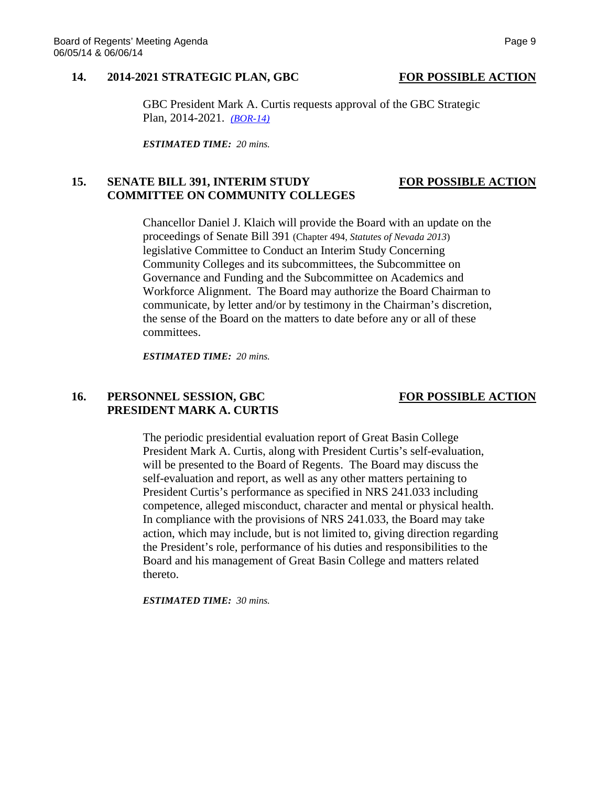### **14. 2014-2021 STRATEGIC PLAN, GBC FOR POSSIBLE ACTION**

GBC President Mark A. Curtis requests approval of the GBC Strategic Plan, 2014-2021. *[\(BOR-14\)](http://system.nevada.edu/tasks/sites/Nshe/assets/File/BoardOfRegents/Agendas/2014/jun-mtgs/bor-refs/BOR-14.pdf)*

*ESTIMATED TIME: 20 mins.*

### **15. SENATE BILL 391, INTERIM STUDY FOR POSSIBLE ACTION COMMITTEE ON COMMUNITY COLLEGES**

Chancellor Daniel J. Klaich will provide the Board with an update on the proceedings of Senate Bill 391 (Chapter 494, *Statutes of Nevada 2013*) legislative Committee to Conduct an Interim Study Concerning Community Colleges and its subcommittees, the Subcommittee on Governance and Funding and the Subcommittee on Academics and Workforce Alignment. The Board may authorize the Board Chairman to communicate, by letter and/or by testimony in the Chairman's discretion, the sense of the Board on the matters to date before any or all of these committees.

*ESTIMATED TIME: 20 mins.*

# **16. PERSONNEL SESSION, GBC FOR POSSIBLE ACTION PRESIDENT MARK A. CURTIS**

The periodic presidential evaluation report of Great Basin College President Mark A. Curtis, along with President Curtis's self-evaluation, will be presented to the Board of Regents. The Board may discuss the self-evaluation and report, as well as any other matters pertaining to President Curtis's performance as specified in NRS 241.033 including competence, alleged misconduct, character and mental or physical health. In compliance with the provisions of NRS 241.033, the Board may take action, which may include, but is not limited to, giving direction regarding the President's role, performance of his duties and responsibilities to the Board and his management of Great Basin College and matters related thereto.

*ESTIMATED TIME: 30 mins.*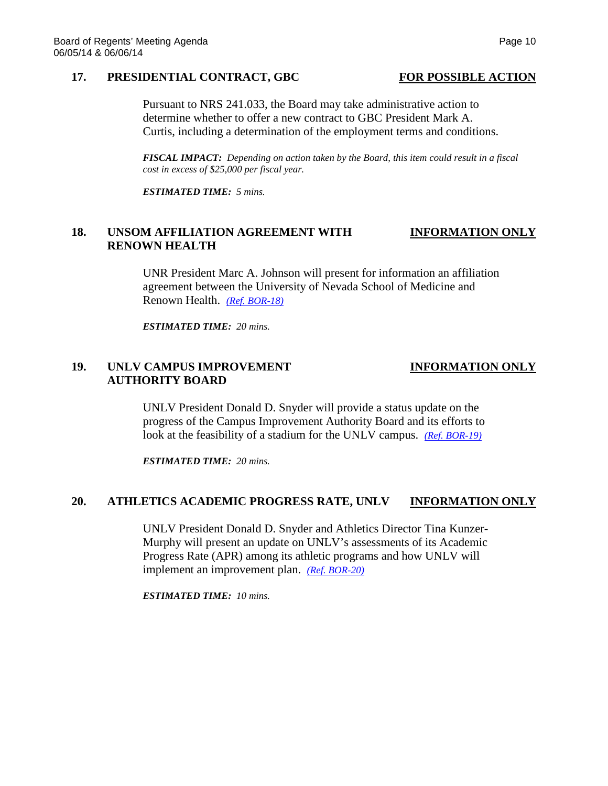### 17. **PRESIDENTIAL CONTRACT, GBC** FOR POSSIBLE ACTION

### Pursuant to NRS 241.033, the Board may take administrative action to determine whether to offer a new contract to GBC President Mark A. Curtis, including a determination of the employment terms and conditions.

*FISCAL IMPACT: Depending on action taken by the Board, this item could result in a fiscal cost in excess of \$25,000 per fiscal year.*

*ESTIMATED TIME: 5 mins.*

# **18. UNSOM AFFILIATION AGREEMENT WITH INFORMATION ONLY RENOWN HEALTH**

UNR President Marc A. Johnson will present for information an affiliation agreement between the University of Nevada School of Medicine and Renown Health. *[\(Ref. BOR-18\)](http://system.nevada.edu/tasks/sites/Nshe/assets/File/BoardOfRegents/Agendas/2014/jun-mtgs/bor-refs/BOR-18.pdf)*

*ESTIMATED TIME: 20 mins.*

## **19. UNLV CAMPUS IMPROVEMENT INFORMATION ONLY AUTHORITY BOARD**

UNLV President Donald D. Snyder will provide a status update on the progress of the Campus Improvement Authority Board and its efforts to look at the feasibility of a stadium for the UNLV campus. *[\(Ref. BOR-19\)](http://system.nevada.edu/tasks/sites/Nshe/assets/File/BoardOfRegents/Agendas/2014/jun-mtgs/bor-refs/BOR-19.pdf)*

*ESTIMATED TIME: 20 mins.*

### **20. ATHLETICS ACADEMIC PROGRESS RATE, UNLV INFORMATION ONLY**

UNLV President Donald D. Snyder and Athletics Director Tina Kunzer-Murphy will present an update on UNLV's assessments of its Academic Progress Rate (APR) among its athletic programs and how UNLV will implement an improvement plan. *[\(Ref. BOR-20\)](http://system.nevada.edu/tasks/sites/Nshe/assets/File/BoardOfRegents/Agendas/2014/jun-mtgs/bor-refs/BOR-20.pdf)*

*ESTIMATED TIME: 10 mins.*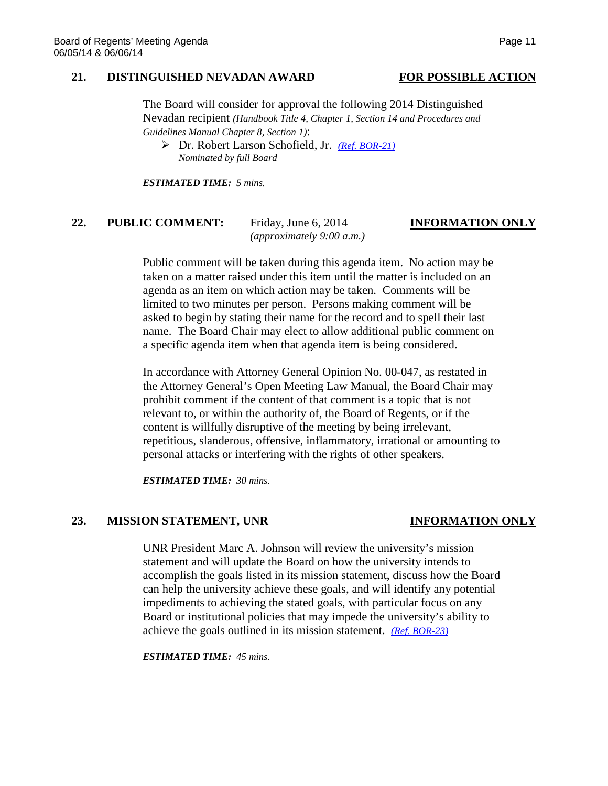### **21. DISTINGUISHED NEVADAN AWARD FOR POSSIBLE ACTION**

The Board will consider for approval the following 2014 Distinguished Nevadan recipient *(Handbook Title 4, Chapter 1, Section 14 and Procedures and Guidelines Manual Chapter 8, Section 1)*:

 Dr. Robert Larson Schofield, Jr. *[\(Ref. BOR-21\)](http://system.nevada.edu/tasks/sites/Nshe/assets/File/BoardOfRegents/Agendas/2014/jun-mtgs/bor-refs/BOR-21.pdf) Nominated by full Board*

*ESTIMATED TIME: 5 mins.*

### **22. PUBLIC COMMENT:** Friday, June 6, 2014 **INFORMATION ONLY** *(approximately 9:00 a.m.)*

Public comment will be taken during this agenda item. No action may be taken on a matter raised under this item until the matter is included on an agenda as an item on which action may be taken. Comments will be limited to two minutes per person. Persons making comment will be asked to begin by stating their name for the record and to spell their last name. The Board Chair may elect to allow additional public comment on a specific agenda item when that agenda item is being considered.

In accordance with Attorney General Opinion No. 00-047, as restated in the Attorney General's Open Meeting Law Manual, the Board Chair may prohibit comment if the content of that comment is a topic that is not relevant to, or within the authority of, the Board of Regents, or if the content is willfully disruptive of the meeting by being irrelevant, repetitious, slanderous, offensive, inflammatory, irrational or amounting to personal attacks or interfering with the rights of other speakers.

*ESTIMATED TIME: 30 mins.*

### **23. MISSION STATEMENT, UNR INFORMATION ONLY**

UNR President Marc A. Johnson will review the university's mission statement and will update the Board on how the university intends to accomplish the goals listed in its mission statement, discuss how the Board can help the university achieve these goals, and will identify any potential impediments to achieving the stated goals, with particular focus on any Board or institutional policies that may impede the university's ability to achieve the goals outlined in its mission statement. *[\(Ref. BOR-23\)](http://system.nevada.edu/tasks/sites/Nshe/assets/File/BoardOfRegents/Agendas/2014/jun-mtgs/bor-refs/BOR-23.pdf)*

*ESTIMATED TIME: 45 mins.*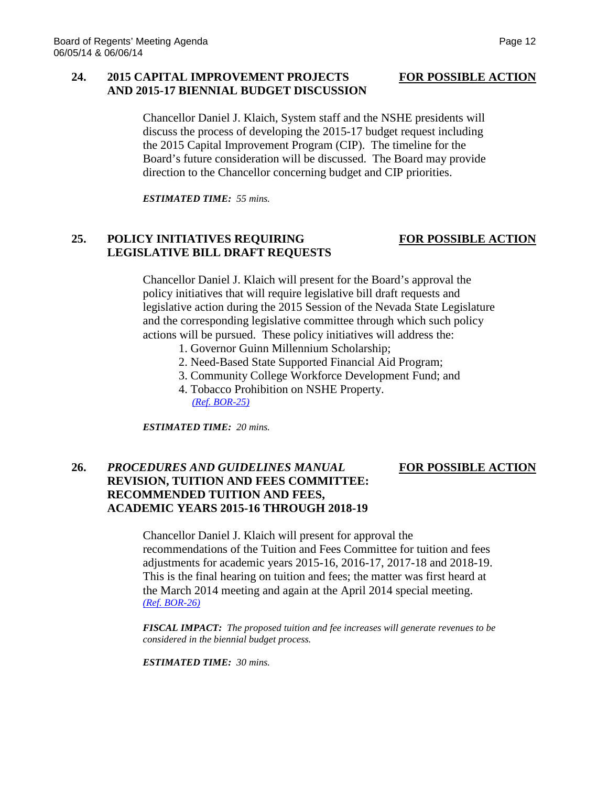# **24. 2015 CAPITAL IMPROVEMENT PROJECTS FOR POSSIBLE ACTION AND 2015-17 BIENNIAL BUDGET DISCUSSION**

Chancellor Daniel J. Klaich, System staff and the NSHE presidents will discuss the process of developing the 2015-17 budget request including the 2015 Capital Improvement Program (CIP). The timeline for the Board's future consideration will be discussed. The Board may provide direction to the Chancellor concerning budget and CIP priorities.

*ESTIMATED TIME: 55 mins.*

# **25. POLICY INITIATIVES REQUIRING FOR POSSIBLE ACTION LEGISLATIVE BILL DRAFT REQUESTS**

Chancellor Daniel J. Klaich will present for the Board's approval the policy initiatives that will require legislative bill draft requests and legislative action during the 2015 Session of the Nevada State Legislature and the corresponding legislative committee through which such policy actions will be pursued. These policy initiatives will address the:

- 1. Governor Guinn Millennium Scholarship;
- 2. Need-Based State Supported Financial Aid Program;
- 3. Community College Workforce Development Fund; and
- 4. Tobacco Prohibition on NSHE Property. *[\(Ref. BOR-25\)](http://system.nevada.edu/tasks/sites/Nshe/assets/File/BoardOfRegents/Agendas/2014/jun-mtgs/bor-refs/BOR-25.pdf)*

*ESTIMATED TIME: 20 mins.*

# **26.** *PROCEDURES AND GUIDELINES MANUAL* **FOR POSSIBLE ACTION REVISION, TUITION AND FEES COMMITTEE: RECOMMENDED TUITION AND FEES, ACADEMIC YEARS 2015-16 THROUGH 2018-19**

Chancellor Daniel J. Klaich will present for approval the recommendations of the Tuition and Fees Committee for tuition and fees adjustments for academic years 2015-16, 2016-17, 2017-18 and 2018-19. This is the final hearing on tuition and fees; the matter was first heard at the March 2014 meeting and again at the April 2014 special meeting. *[\(Ref. BOR-26\)](http://system.nevada.edu/tasks/sites/Nshe/assets/File/BoardOfRegents/Agendas/2014/jun-mtgs/bor-refs/BOR-26.pdf)*

*FISCAL IMPACT: The proposed tuition and fee increases will generate revenues to be considered in the biennial budget process.*

*ESTIMATED TIME: 30 mins.*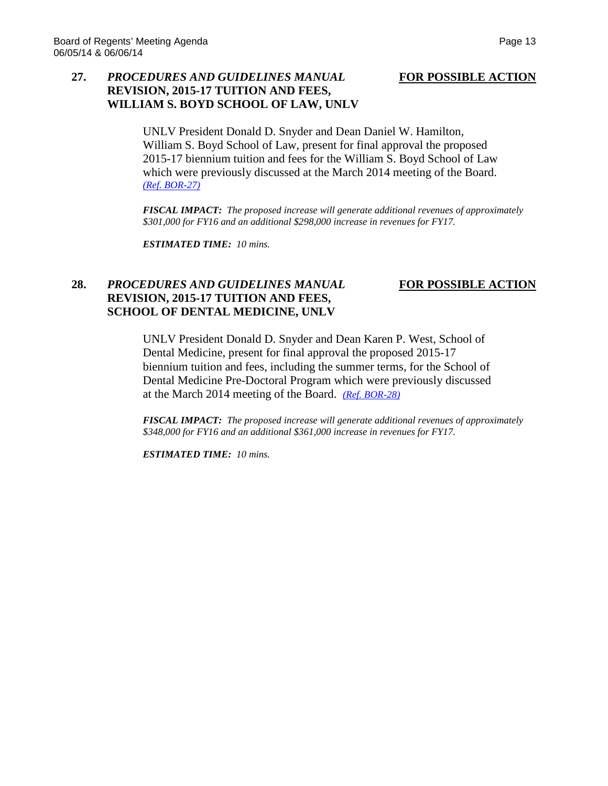## **27.** *PROCEDURES AND GUIDELINES MANUAL* **FOR POSSIBLE ACTION REVISION, 2015-17 TUITION AND FEES, WILLIAM S. BOYD SCHOOL OF LAW, UNLV**

UNLV President Donald D. Snyder and Dean Daniel W. Hamilton, William S. Boyd School of Law, present for final approval the proposed 2015-17 biennium tuition and fees for the William S. Boyd School of Law which were previously discussed at the March 2014 meeting of the Board. *[\(Ref. BOR-27\)](http://system.nevada.edu/tasks/sites/Nshe/assets/File/BoardOfRegents/Agendas/2014/jun-mtgs/bor-refs/BOR-27.pdf)*

*FISCAL IMPACT: The proposed increase will generate additional revenues of approximately \$301,000 for FY16 and an additional \$298,000 increase in revenues for FY17.*

*ESTIMATED TIME: 10 mins.*

# **28.** *PROCEDURES AND GUIDELINES MANUAL* **FOR POSSIBLE ACTION REVISION, 2015-17 TUITION AND FEES, SCHOOL OF DENTAL MEDICINE, UNLV**

UNLV President Donald D. Snyder and Dean Karen P. West, School of Dental Medicine, present for final approval the proposed 2015-17 biennium tuition and fees, including the summer terms, for the School of Dental Medicine Pre-Doctoral Program which were previously discussed at the March 2014 meeting of the Board. *[\(Ref. BOR-28\)](http://system.nevada.edu/tasks/sites/Nshe/assets/File/BoardOfRegents/Agendas/2014/jun-mtgs/bor-refs/BOR-28.pdf)*

*FISCAL IMPACT: The proposed increase will generate additional revenues of approximately \$348,000 for FY16 and an additional \$361,000 increase in revenues for FY17.*

*ESTIMATED TIME: 10 mins.*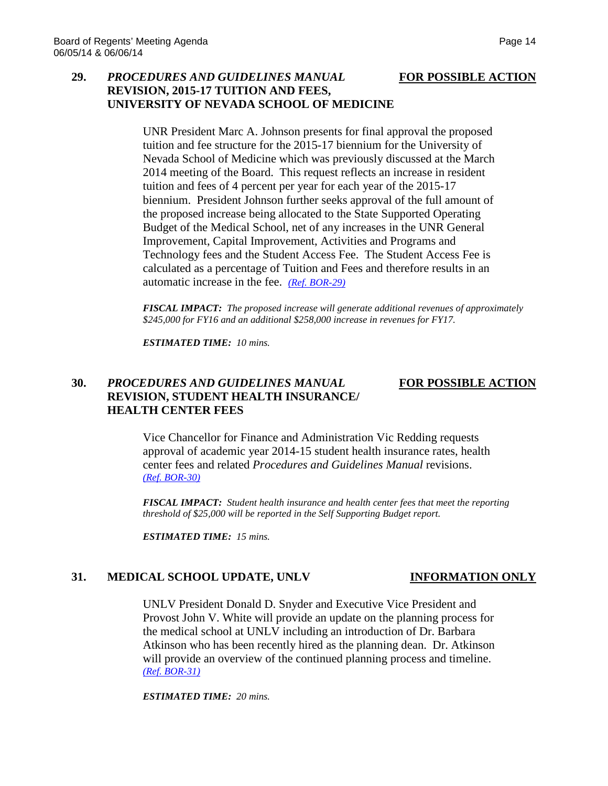# **29.** *PROCEDURES AND GUIDELINES MANUAL* **FOR POSSIBLE ACTION REVISION, 2015-17 TUITION AND FEES, UNIVERSITY OF NEVADA SCHOOL OF MEDICINE**

UNR President Marc A. Johnson presents for final approval the proposed tuition and fee structure for the 2015-17 biennium for the University of Nevada School of Medicine which was previously discussed at the March 2014 meeting of the Board. This request reflects an increase in resident tuition and fees of 4 percent per year for each year of the 2015-17 biennium. President Johnson further seeks approval of the full amount of the proposed increase being allocated to the State Supported Operating Budget of the Medical School, net of any increases in the UNR General Improvement, Capital Improvement, Activities and Programs and Technology fees and the Student Access Fee. The Student Access Fee is calculated as a percentage of Tuition and Fees and therefore results in an automatic increase in the fee. *[\(Ref. BOR-29\)](http://system.nevada.edu/tasks/sites/Nshe/assets/File/BoardOfRegents/Agendas/2014/jun-mtgs/bor-refs/BOR-29.pdf)*

*FISCAL IMPACT: The proposed increase will generate additional revenues of approximately \$245,000 for FY16 and an additional \$258,000 increase in revenues for FY17.*

*ESTIMATED TIME: 10 mins.*

## **30.** *PROCEDURES AND GUIDELINES MANUAL* **FOR POSSIBLE ACTION REVISION, STUDENT HEALTH INSURANCE/ HEALTH CENTER FEES**

### Vice Chancellor for Finance and Administration Vic Redding requests approval of academic year 2014-15 student health insurance rates, health center fees and related *Procedures and Guidelines Manual* revisions. *[\(Ref. BOR-30\)](http://system.nevada.edu/tasks/sites/Nshe/assets/File/BoardOfRegents/Agendas/2014/jun-mtgs/bor-refs/BOR-30.pdf)*

*FISCAL IMPACT: Student health insurance and health center fees that meet the reporting threshold of \$25,000 will be reported in the Self Supporting Budget report.*

*ESTIMATED TIME: 15 mins.*

# **31. MEDICAL SCHOOL UPDATE, UNLV INFORMATION ONLY**

UNLV President Donald D. Snyder and Executive Vice President and Provost John V. White will provide an update on the planning process for the medical school at UNLV including an introduction of Dr. Barbara Atkinson who has been recently hired as the planning dean. Dr. Atkinson will provide an overview of the continued planning process and timeline. *[\(Ref. BOR-31\)](http://system.nevada.edu/tasks/sites/Nshe/assets/File/BoardOfRegents/Agendas/2014/jun-mtgs/bor-refs/BOR-31.pdf)*

*ESTIMATED TIME: 20 mins.*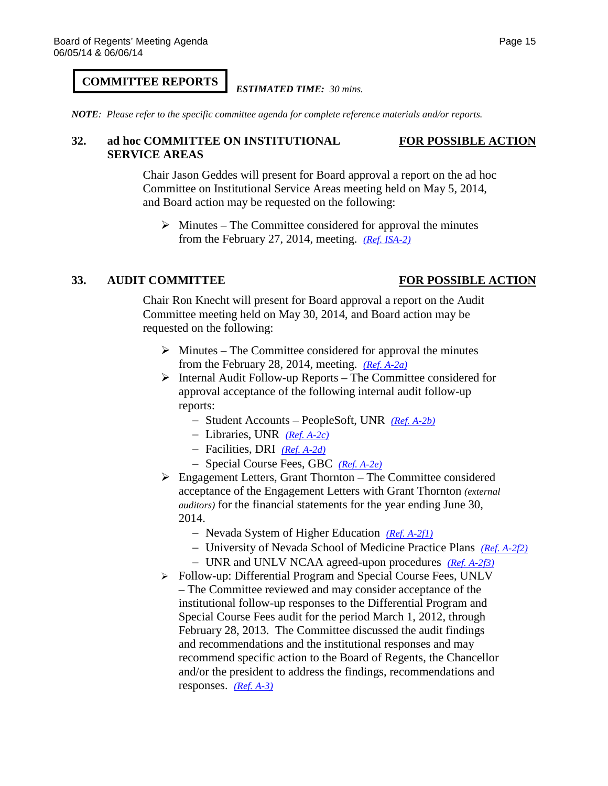# **COMMITTEE REPORTS**

### *ESTIMATED TIME: 30 mins.*

*NOTE: Please refer to the specific committee agenda for complete reference materials and/or reports.*

### **32. ad hoc COMMITTEE ON INSTITUTIONAL FOR POSSIBLE ACTION SERVICE AREAS**

Chair Jason Geddes will present for Board approval a report on the ad hoc Committee on Institutional Service Areas meeting held on May 5, 2014, and Board action may be requested on the following:

 $\triangleright$  Minutes – The Committee considered for approval the minutes from the February 27, 2014, meeting. *[\(Ref. ISA-2\)](http://system.nevada.edu/tasks/sites/Nshe/assets/File/BoardOfRegents/Agendas/2014/jun-mtgs/bor-refs/ISA-2.pdf)*

### **33. AUDIT COMMITTEE FOR POSSIBLE ACTION**

Chair Ron Knecht will present for Board approval a report on the Audit Committee meeting held on May 30, 2014, and Board action may be requested on the following:

- $\triangleright$  Minutes The Committee considered for approval the minutes from the February 28, 2014, meeting. *[\(Ref. A-2a\)](http://system.nevada.edu/tasks/sites/Nshe/assets/File/BoardOfRegents/Agendas/2014/may-mtgs/audit-refs/A-2a.pdf)*
- $\triangleright$  Internal Audit Follow-up Reports The Committee considered for approval acceptance of the following internal audit follow-up reports:
	- − Student Accounts PeopleSoft, UNR *[\(Ref. A-2b\)](http://system.nevada.edu/tasks/sites/Nshe/assets/File/BoardOfRegents/Agendas/2014/may-mtgs/audit-refs/A-2b.pdf)*
	- − Libraries, UNR *[\(Ref. A-2c\)](http://system.nevada.edu/tasks/sites/Nshe/assets/File/BoardOfRegents/Agendas/2014/may-mtgs/audit-refs/A-2c.pdf)*
	- − Facilities, DRI *[\(Ref. A-2d\)](http://system.nevada.edu/tasks/sites/Nshe/assets/File/BoardOfRegents/Agendas/2014/may-mtgs/audit-refs/A-2d.pdf)*
	- − Special Course Fees, GBC *[\(Ref. A-2e\)](http://system.nevada.edu/tasks/sites/Nshe/assets/File/BoardOfRegents/Agendas/2014/may-mtgs/audit-refs/A-2e.pdf)*
- Engagement Letters, Grant Thornton The Committee considered acceptance of the Engagement Letters with Grant Thornton *(external auditors)* for the financial statements for the year ending June 30, 2014.
	- − Nevada System of Higher Education *[\(Ref. A-2f1\)](http://system.nevada.edu/tasks/sites/Nshe/assets/File/BoardOfRegents/Agendas/2014/may-mtgs/audit-refs/A-2f-1.pdf)*
	- − University of Nevada School of Medicine Practice Plans *[\(Ref. A-2f2\)](http://system.nevada.edu/tasks/sites/Nshe/assets/File/BoardOfRegents/Agendas/2014/may-mtgs/audit-refs/A-2f-2.pdf)*
	- − UNR and UNLV NCAA agreed-upon procedures *[\(Ref. A-2f3\)](http://system.nevada.edu/tasks/sites/Nshe/assets/File/BoardOfRegents/Agendas/2014/may-mtgs/audit-refs/A-2f-3.pdf)*
- Follow-up: Differential Program and Special Course Fees, UNLV – The Committee reviewed and may consider acceptance of the institutional follow-up responses to the Differential Program and Special Course Fees audit for the period March 1, 2012, through February 28, 2013. The Committee discussed the audit findings and recommendations and the institutional responses and may recommend specific action to the Board of Regents, the Chancellor and/or the president to address the findings, recommendations and responses. *[\(Ref. A-3\)](http://system.nevada.edu/tasks/sites/Nshe/assets/File/BoardOfRegents/Agendas/2014/may-mtgs/audit-refs/A-3.pdf)*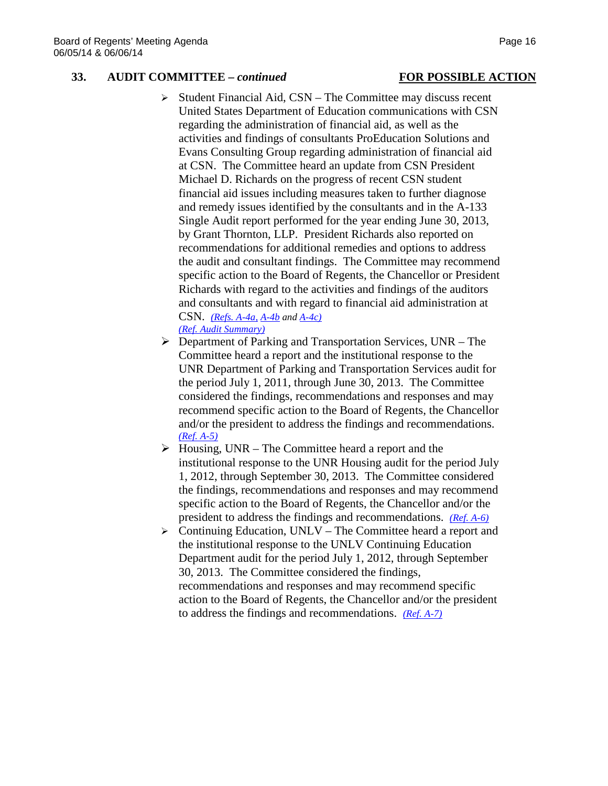### **33. AUDIT COMMITTEE –** *continued* **FOR POSSIBLE ACTION**

# $\triangleright$  Student Financial Aid, CSN – The Committee may discuss recent United States Department of Education communications with CSN regarding the administration of financial aid, as well as the activities and findings of consultants ProEducation Solutions and Evans Consulting Group regarding administration of financial aid at CSN. The Committee heard an update from CSN President Michael D. Richards on the progress of recent CSN student financial aid issues including measures taken to further diagnose and remedy issues identified by the consultants and in the A-133 Single Audit report performed for the year ending June 30, 2013, by Grant Thornton, LLP. President Richards also reported on recommendations for additional remedies and options to address the audit and consultant findings. The Committee may recommend specific action to the Board of Regents, the Chancellor or President Richards with regard to the activities and findings of the auditors and consultants and with regard to financial aid administration at CSN. *[\(Refs. A-4a,](http://system.nevada.edu/tasks/sites/Nshe/assets/File/BoardOfRegents/Agendas/2014/may-mtgs/audit-refs/A-4a.pdf) [A-4b](http://system.nevada.edu/tasks/sites/Nshe/assets/File/BoardOfRegents/Agendas/2014/may-mtgs/audit-refs/A-4b.pdf) and [A-4c\)](http://system.nevada.edu/tasks/sites/Nshe/assets/File/BoardOfRegents/Agendas/2014/may-mtgs/audit-refs/A-4c.pdf)*

- *[\(Ref. Audit Summary\)](http://system.nevada.edu/tasks/sites/Nshe/assets/File/BoardOfRegents/Agendas/2014/may-mtgs/audit-refs/Audit%20Summary.pdf)*
- $\triangleright$  Department of Parking and Transportation Services, UNR The Committee heard a report and the institutional response to the UNR Department of Parking and Transportation Services audit for the period July 1, 2011, through June 30, 2013. The Committee considered the findings, recommendations and responses and may recommend specific action to the Board of Regents, the Chancellor and/or the president to address the findings and recommendations. *[\(Ref. A-5\)](http://system.nevada.edu/tasks/sites/Nshe/assets/File/BoardOfRegents/Agendas/2014/may-mtgs/audit-refs/A-5.pdf)*
- $\triangleright$  Housing, UNR The Committee heard a report and the institutional response to the UNR Housing audit for the period July 1, 2012, through September 30, 2013. The Committee considered the findings, recommendations and responses and may recommend specific action to the Board of Regents, the Chancellor and/or the president to address the findings and recommendations. *[\(Ref. A-6\)](http://system.nevada.edu/tasks/sites/Nshe/assets/File/BoardOfRegents/Agendas/2014/may-mtgs/audit-refs/A-6.pdf)*
- $\triangleright$  Continuing Education, UNLV The Committee heard a report and the institutional response to the UNLV Continuing Education Department audit for the period July 1, 2012, through September 30, 2013. The Committee considered the findings, recommendations and responses and may recommend specific action to the Board of Regents, the Chancellor and/or the president to address the findings and recommendations. *[\(Ref. A-7\)](http://system.nevada.edu/tasks/sites/Nshe/assets/File/BoardOfRegents/Agendas/2014/may-mtgs/audit-refs/A-7.pdf)*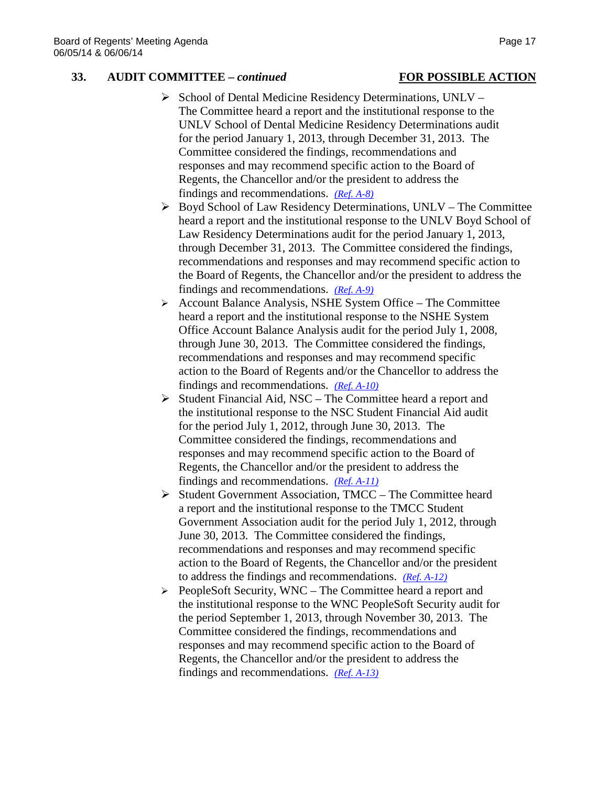### **33. AUDIT COMMITTEE –** *continued* **FOR POSSIBLE ACTION**

# $\triangleright$  School of Dental Medicine Residency Determinations, UNLV – The Committee heard a report and the institutional response to the UNLV School of Dental Medicine Residency Determinations audit for the period January 1, 2013, through December 31, 2013. The Committee considered the findings, recommendations and responses and may recommend specific action to the Board of Regents, the Chancellor and/or the president to address the findings and recommendations. *[\(Ref. A-8\)](http://system.nevada.edu/tasks/sites/Nshe/assets/File/BoardOfRegents/Agendas/2014/may-mtgs/audit-refs/A-8.pdf)*

- $\triangleright$  Boyd School of Law Residency Determinations, UNLV The Committee heard a report and the institutional response to the UNLV Boyd School of Law Residency Determinations audit for the period January 1, 2013, through December 31, 2013. The Committee considered the findings, recommendations and responses and may recommend specific action to the Board of Regents, the Chancellor and/or the president to address the findings and recommendations. *[\(Ref. A-9\)](http://system.nevada.edu/tasks/sites/Nshe/assets/File/BoardOfRegents/Agendas/2014/may-mtgs/audit-refs/A-9.pdf)*
- $\triangleright$  Account Balance Analysis, NSHE System Office The Committee heard a report and the institutional response to the NSHE System Office Account Balance Analysis audit for the period July 1, 2008, through June 30, 2013. The Committee considered the findings, recommendations and responses and may recommend specific action to the Board of Regents and/or the Chancellor to address the findings and recommendations. *[\(Ref. A-10\)](http://system.nevada.edu/tasks/sites/Nshe/assets/File/BoardOfRegents/Agendas/2014/may-mtgs/audit-refs/A-10.pdf)*
- $\triangleright$  Student Financial Aid, NSC The Committee heard a report and the institutional response to the NSC Student Financial Aid audit for the period July 1, 2012, through June 30, 2013. The Committee considered the findings, recommendations and responses and may recommend specific action to the Board of Regents, the Chancellor and/or the president to address the findings and recommendations. *[\(Ref. A-11\)](http://system.nevada.edu/tasks/sites/Nshe/assets/File/BoardOfRegents/Agendas/2014/may-mtgs/audit-refs/A-11.pdf)*
- $\triangleright$  Student Government Association, TMCC The Committee heard a report and the institutional response to the TMCC Student Government Association audit for the period July 1, 2012, through June 30, 2013. The Committee considered the findings, recommendations and responses and may recommend specific action to the Board of Regents, the Chancellor and/or the president to address the findings and recommendations. *[\(Ref. A-12\)](http://system.nevada.edu/tasks/sites/Nshe/assets/File/BoardOfRegents/Agendas/2014/may-mtgs/audit-refs/A-12.pdf)*
- $\triangleright$  PeopleSoft Security, WNC The Committee heard a report and the institutional response to the WNC PeopleSoft Security audit for the period September 1, 2013, through November 30, 2013. The Committee considered the findings, recommendations and responses and may recommend specific action to the Board of Regents, the Chancellor and/or the president to address the findings and recommendations. *[\(Ref. A-13\)](http://system.nevada.edu/tasks/sites/Nshe/assets/File/BoardOfRegents/Agendas/2014/may-mtgs/audit-refs/A-13.pdf)*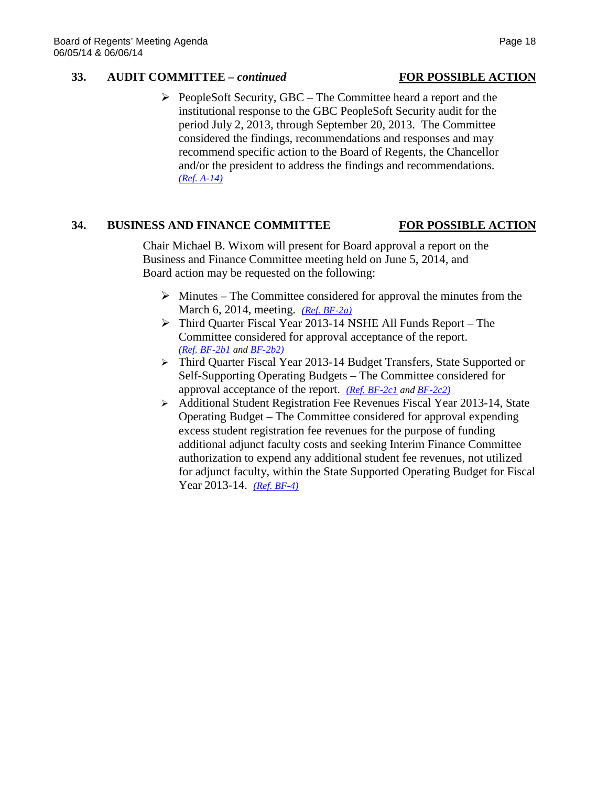### **33. AUDIT COMMITTEE –** *continued* **FOR POSSIBLE ACTION**

 $\triangleright$  PeopleSoft Security, GBC – The Committee heard a report and the institutional response to the GBC PeopleSoft Security audit for the period July 2, 2013, through September 20, 2013. The Committee considered the findings, recommendations and responses and may recommend specific action to the Board of Regents, the Chancellor and/or the president to address the findings and recommendations. *[\(Ref. A-14\)](http://system.nevada.edu/tasks/sites/Nshe/assets/File/BoardOfRegents/Agendas/2014/may-mtgs/audit-refs/A-14.pdf)*

# **34. BUSINESS AND FINANCE COMMITTEE FOR POSSIBLE ACTION**

Chair Michael B. Wixom will present for Board approval a report on the Business and Finance Committee meeting held on June 5, 2014, and Board action may be requested on the following:

- $\triangleright$  Minutes The Committee considered for approval the minutes from the March 6, 2014, meeting. *[\(Ref. BF-2a\)](http://system.nevada.edu/tasks/sites/Nshe/assets/File/BoardOfRegents/Agendas/2014/jun-mtgs/bf-refs/BF-2a.pdf)*
- Third Quarter Fiscal Year 2013-14 NSHE All Funds Report The Committee considered for approval acceptance of the report. *[\(Ref. BF-2b1](http://system.nevada.edu/tasks/sites/Nshe/assets/File/BoardOfRegents/Agendas/2014/jun-mtgs/bf-refs/BF-2b(1).pdf) and [BF-2b2\)](http://system.nevada.edu/tasks/sites/Nshe/assets/File/BoardOfRegents/Agendas/2014/jun-mtgs/bf-refs/BF-2b(2).pdf)*
- Third Quarter Fiscal Year 2013-14 Budget Transfers, State Supported or Self-Supporting Operating Budgets – The Committee considered for approval acceptance of the report. *[\(Ref. BF-2c1](http://system.nevada.edu/tasks/sites/Nshe/assets/File/BoardOfRegents/Agendas/2014/jun-mtgs/bf-refs/BF-2c(1).pdf) an[d BF-2c2\)](http://system.nevada.edu/tasks/sites/Nshe/assets/File/BoardOfRegents/Agendas/2014/jun-mtgs/bf-refs/BF-2c(2).pdf)*
- Additional Student Registration Fee Revenues Fiscal Year 2013-14, State Operating Budget – The Committee considered for approval expending excess student registration fee revenues for the purpose of funding additional adjunct faculty costs and seeking Interim Finance Committee authorization to expend any additional student fee revenues, not utilized for adjunct faculty, within the State Supported Operating Budget for Fiscal Year 2013-14. *[\(Ref. BF-4\)](http://system.nevada.edu/tasks/sites/Nshe/assets/File/BoardOfRegents/Agendas/2014/jun-mtgs/bf-refs/BF-4.pdf)*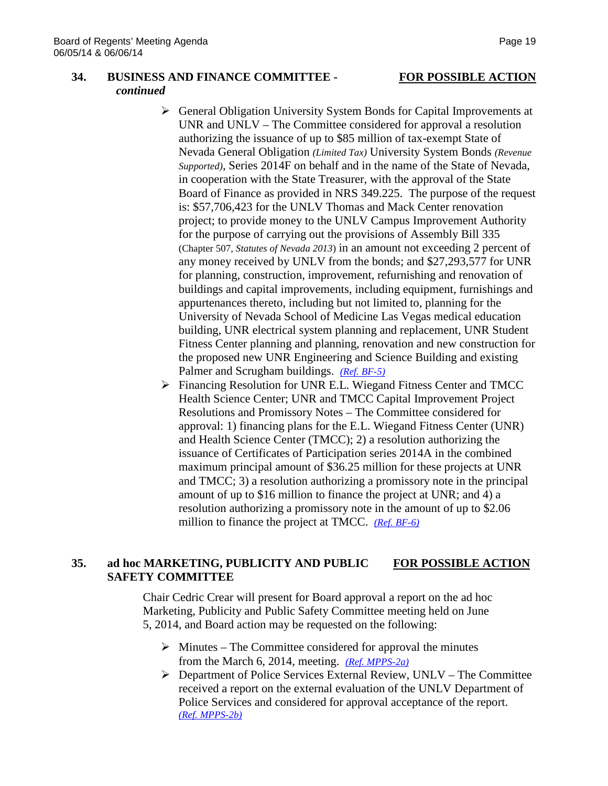### **34. BUSINESS AND FINANCE COMMITTEE - FOR POSSIBLE ACTION** *continued*

- General Obligation University System Bonds for Capital Improvements at UNR and UNLV – The Committee considered for approval a resolution authorizing the issuance of up to \$85 million of tax-exempt State of Nevada General Obligation *(Limited Tax)* University System Bonds *(Revenue Supported)*, Series 2014F on behalf and in the name of the State of Nevada, in cooperation with the State Treasurer, with the approval of the State Board of Finance as provided in NRS 349.225. The purpose of the request is: \$57,706,423 for the UNLV Thomas and Mack Center renovation project; to provide money to the UNLV Campus Improvement Authority for the purpose of carrying out the provisions of Assembly Bill 335 (Chapter 507, *Statutes of Nevada 2013*) in an amount not exceeding 2 percent of any money received by UNLV from the bonds; and \$27,293,577 for UNR for planning, construction, improvement, refurnishing and renovation of buildings and capital improvements, including equipment, furnishings and appurtenances thereto, including but not limited to, planning for the University of Nevada School of Medicine Las Vegas medical education building, UNR electrical system planning and replacement, UNR Student Fitness Center planning and planning, renovation and new construction for the proposed new UNR Engineering and Science Building and existing Palmer and Scrugham buildings. *[\(Ref. BF-5\)](http://system.nevada.edu/tasks/sites/Nshe/assets/File/BoardOfRegents/Agendas/2014/jun-mtgs/bf-refs/BF-5.pdf)*
- Financing Resolution for UNR E.L. Wiegand Fitness Center and TMCC Health Science Center; UNR and TMCC Capital Improvement Project Resolutions and Promissory Notes – The Committee considered for approval: 1) financing plans for the E.L. Wiegand Fitness Center (UNR) and Health Science Center (TMCC); 2) a resolution authorizing the issuance of Certificates of Participation series 2014A in the combined maximum principal amount of \$36.25 million for these projects at UNR and TMCC; 3) a resolution authorizing a promissory note in the principal amount of up to \$16 million to finance the project at UNR; and 4) a resolution authorizing a promissory note in the amount of up to \$2.06 million to finance the project at TMCC. *[\(Ref. BF-6\)](http://system.nevada.edu/tasks/sites/Nshe/assets/File/BoardOfRegents/Agendas/2014/jun-mtgs/bf-refs/BF-6.pdf)*

# **35. ad hoc MARKETING, PUBLICITY AND PUBLIC FOR POSSIBLE ACTION SAFETY COMMITTEE**

Chair Cedric Crear will present for Board approval a report on the ad hoc Marketing, Publicity and Public Safety Committee meeting held on June 5, 2014, and Board action may be requested on the following:

- $\triangleright$  Minutes The Committee considered for approval the minutes from the March 6, 2014, meeting. *[\(Ref. MPPS-2a\)](http://system.nevada.edu/tasks/sites/Nshe/assets/File/BoardOfRegents/Agendas/2014/jun-mtgs/mpps-refs/MPPS-2a.pdf)*
- Department of Police Services External Review, UNLV The Committee received a report on the external evaluation of the UNLV Department of Police Services and considered for approval acceptance of the report. *[\(Ref. MPPS-2b\)](http://system.nevada.edu/tasks/sites/Nshe/assets/File/BoardOfRegents/Agendas/2014/jun-mtgs/mpps-refs/MPPS-2b.pdf)*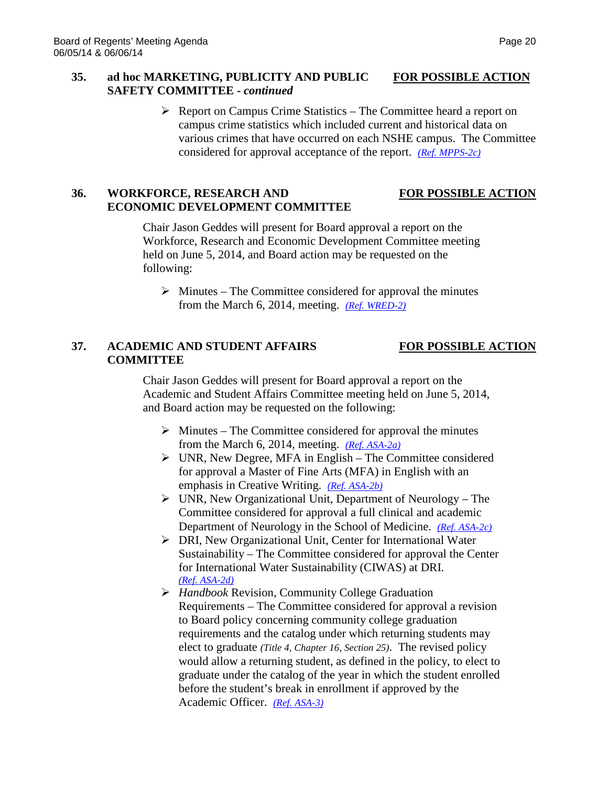# **35. ad hoc MARKETING, PUBLICITY AND PUBLIC FOR POSSIBLE ACTION SAFETY COMMITTEE -** *continued*

 $\triangleright$  Report on Campus Crime Statistics – The Committee heard a report on campus crime statistics which included current and historical data on various crimes that have occurred on each NSHE campus. The Committee considered for approval acceptance of the report. *[\(Ref. MPPS-2c\)](http://system.nevada.edu/tasks/sites/Nshe/assets/File/BoardOfRegents/Agendas/2014/jun-mtgs/mpps-refs/MPPS-2c.pdf)*

# **36.** WORKFORCE, RESEARCH AND FOR POSSIBLE ACTION **ECONOMIC DEVELOPMENT COMMITTEE**

Chair Jason Geddes will present for Board approval a report on the Workforce, Research and Economic Development Committee meeting held on June 5, 2014, and Board action may be requested on the following:

 $\triangleright$  Minutes – The Committee considered for approval the minutes from the March 6, 2014, meeting. *[\(Ref. WRED-2\)](http://system.nevada.edu/tasks/sites/Nshe/assets/File/BoardOfRegents/Agendas/2014/jun-mtgs/wred-refs/WRED-2.pdf)*

# **37. ACADEMIC AND STUDENT AFFAIRS FOR POSSIBLE ACTION COMMITTEE**

Chair Jason Geddes will present for Board approval a report on the Academic and Student Affairs Committee meeting held on June 5, 2014, and Board action may be requested on the following:

- $\triangleright$  Minutes The Committee considered for approval the minutes from the March 6, 2014, meeting. *[\(Ref. ASA-2a\)](http://system.nevada.edu/tasks/sites/Nshe/assets/File/BoardOfRegents/Agendas/2014/jun-mtgs/asa-refs/ASA-2a.pdf)*
- $\triangleright$  UNR, New Degree, MFA in English The Committee considered for approval a Master of Fine Arts (MFA) in English with an emphasis in Creative Writing. *[\(Ref. ASA-2b\)](http://system.nevada.edu/tasks/sites/Nshe/assets/File/BoardOfRegents/Agendas/2014/jun-mtgs/asa-refs/ASA-2b.pdf)*
- $\triangleright$  UNR, New Organizational Unit, Department of Neurology The Committee considered for approval a full clinical and academic Department of Neurology in the School of Medicine. *[\(Ref. ASA-2c\)](http://system.nevada.edu/tasks/sites/Nshe/assets/File/BoardOfRegents/Agendas/2014/jun-mtgs/asa-refs/ASA-2c.pdf)*
- DRI, New Organizational Unit, Center for International Water Sustainability – The Committee considered for approval the Center for International Water Sustainability (CIWAS) at DRI. *[\(Ref. ASA-2d\)](http://system.nevada.edu/tasks/sites/Nshe/assets/File/BoardOfRegents/Agendas/2014/jun-mtgs/asa-refs/ASA-2d.pdf)*
- *Handbook* Revision, Community College Graduation Requirements – The Committee considered for approval a revision to Board policy concerning community college graduation requirements and the catalog under which returning students may elect to graduate *(Title 4, Chapter 16, Section 25)*. The revised policy would allow a returning student, as defined in the policy, to elect to graduate under the catalog of the year in which the student enrolled before the student's break in enrollment if approved by the Academic Officer. *[\(Ref. ASA-3\)](http://system.nevada.edu/tasks/sites/Nshe/assets/File/BoardOfRegents/Agendas/2014/jun-mtgs/asa-refs/ASA-3.pdf)*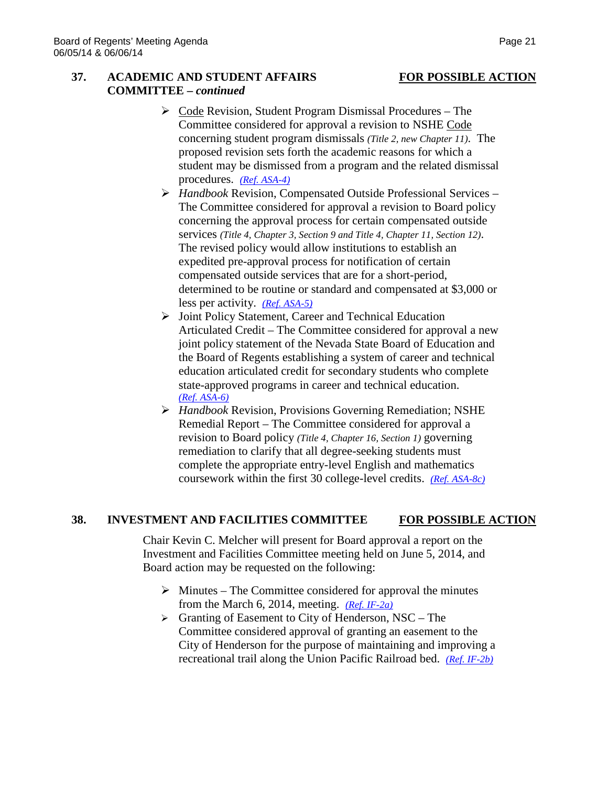# **37. ACADEMIC AND STUDENT AFFAIRS FOR POSSIBLE ACTION COMMITTEE –** *continued*

- $\triangleright$  Code Revision, Student Program Dismissal Procedures The Committee considered for approval a revision to NSHE Code concerning student program dismissals *(Title 2, new Chapter 11)*. The proposed revision sets forth the academic reasons for which a student may be dismissed from a program and the related dismissal procedures. *[\(Ref. ASA-4\)](http://system.nevada.edu/tasks/sites/Nshe/assets/File/BoardOfRegents/Agendas/2014/jun-mtgs/asa-refs/ASA-4.pdf)*
- *Handbook* Revision, Compensated Outside Professional Services The Committee considered for approval a revision to Board policy concerning the approval process for certain compensated outside services *(Title 4, Chapter 3, Section 9 and Title 4, Chapter 11, Section 12)*. The revised policy would allow institutions to establish an expedited pre-approval process for notification of certain compensated outside services that are for a short-period, determined to be routine or standard and compensated at \$3,000 or less per activity. *[\(Ref. ASA-5\)](http://system.nevada.edu/tasks/sites/Nshe/assets/File/BoardOfRegents/Agendas/2014/jun-mtgs/asa-refs/ASA-5.pdf)*
- Joint Policy Statement, Career and Technical Education Articulated Credit – The Committee considered for approval a new joint policy statement of the Nevada State Board of Education and the Board of Regents establishing a system of career and technical education articulated credit for secondary students who complete state-approved programs in career and technical education. *[\(Ref. ASA-6\)](http://system.nevada.edu/tasks/sites/Nshe/assets/File/BoardOfRegents/Agendas/2014/jun-mtgs/asa-refs/ASA-6.pdf)*
- *Handbook* Revision, Provisions Governing Remediation; NSHE Remedial Report – The Committee considered for approval a revision to Board policy *(Title 4, Chapter 16, Section 1)* governing remediation to clarify that all degree-seeking students must complete the appropriate entry-level English and mathematics coursework within the first 30 college-level credits. *[\(Ref. ASA-8c\)](http://system.nevada.edu/tasks/sites/Nshe/assets/File/BoardOfRegents/Agendas/2014/jun-mtgs/asa-refs/ASA-8c.pdf)*

# **38. INVESTMENT AND FACILITIES COMMITTEE FOR POSSIBLE ACTION**

Chair Kevin C. Melcher will present for Board approval a report on the Investment and Facilities Committee meeting held on June 5, 2014, and Board action may be requested on the following:

- $\triangleright$  Minutes The Committee considered for approval the minutes from the March 6, 2014, meeting. *[\(Ref. IF-2a\)](http://system.nevada.edu/tasks/sites/Nshe/assets/File/BoardOfRegents/Agendas/2014/jun-mtgs/if-refs/IF-2a.pdf)*
- $\triangleright$  Granting of Easement to City of Henderson, NSC The Committee considered approval of granting an easement to the City of Henderson for the purpose of maintaining and improving a recreational trail along the Union Pacific Railroad bed. *[\(Ref. IF-2b\)](http://system.nevada.edu/tasks/sites/Nshe/assets/File/BoardOfRegents/Agendas/2014/jun-mtgs/if-refs/IF-2b.pdf)*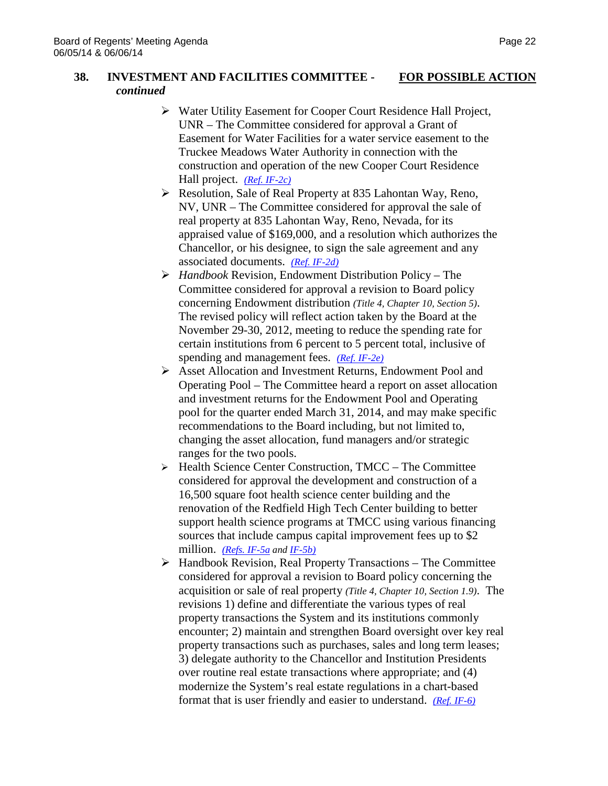### **38. INVESTMENT AND FACILITIES COMMITTEE - FOR POSSIBLE ACTION** *continued*

- Water Utility Easement for Cooper Court Residence Hall Project, UNR – The Committee considered for approval a Grant of Easement for Water Facilities for a water service easement to the Truckee Meadows Water Authority in connection with the construction and operation of the new Cooper Court Residence Hall project. *[\(Ref. IF-2c\)](http://system.nevada.edu/tasks/sites/Nshe/assets/File/BoardOfRegents/Agendas/2014/jun-mtgs/if-refs/IF-2c.pdf)*
- ▶ Resolution, Sale of Real Property at 835 Lahontan Way, Reno, NV, UNR – The Committee considered for approval the sale of real property at 835 Lahontan Way, Reno, Nevada, for its appraised value of \$169,000, and a resolution which authorizes the Chancellor, or his designee, to sign the sale agreement and any associated documents. *[\(Ref. IF-2d\)](http://system.nevada.edu/tasks/sites/Nshe/assets/File/BoardOfRegents/Agendas/2014/jun-mtgs/if-refs/IF-2d.pdf)*
- *Handbook* Revision, Endowment Distribution Policy The Committee considered for approval a revision to Board policy concerning Endowment distribution *(Title 4, Chapter 10, Section 5)*. The revised policy will reflect action taken by the Board at the November 29-30, 2012, meeting to reduce the spending rate for certain institutions from 6 percent to 5 percent total, inclusive of spending and management fees. *[\(Ref. IF-2e\)](http://system.nevada.edu/tasks/sites/Nshe/assets/File/BoardOfRegents/Agendas/2014/jun-mtgs/if-refs/IF-2e.pdf)*
- Asset Allocation and Investment Returns, Endowment Pool and Operating Pool – The Committee heard a report on asset allocation and investment returns for the Endowment Pool and Operating pool for the quarter ended March 31, 2014, and may make specific recommendations to the Board including, but not limited to, changing the asset allocation, fund managers and/or strategic ranges for the two pools.
- $\triangleright$  Health Science Center Construction, TMCC The Committee considered for approval the development and construction of a 16,500 square foot health science center building and the renovation of the Redfield High Tech Center building to better support health science programs at TMCC using various financing sources that include campus capital improvement fees up to \$2 million. *[\(Refs. IF-5a](http://system.nevada.edu/tasks/sites/Nshe/assets/File/BoardOfRegents/Agendas/2014/jun-mtgs/if-refs/IF-5a.pdf) and [IF-5b\)](http://system.nevada.edu/tasks/sites/Nshe/assets/File/BoardOfRegents/Agendas/2014/jun-mtgs/if-refs/IF-5b.pdf)*
- $\triangleright$  Handbook Revision, Real Property Transactions The Committee considered for approval a revision to Board policy concerning the acquisition or sale of real property *(Title 4, Chapter 10, Section 1.9)*. The revisions 1) define and differentiate the various types of real property transactions the System and its institutions commonly encounter; 2) maintain and strengthen Board oversight over key real property transactions such as purchases, sales and long term leases; 3) delegate authority to the Chancellor and Institution Presidents over routine real estate transactions where appropriate; and (4) modernize the System's real estate regulations in a chart-based format that is user friendly and easier to understand. *[\(Ref. IF-6\)](http://system.nevada.edu/tasks/sites/Nshe/assets/File/BoardOfRegents/Agendas/2014/jun-mtgs/if-refs/IF-6.pdf)*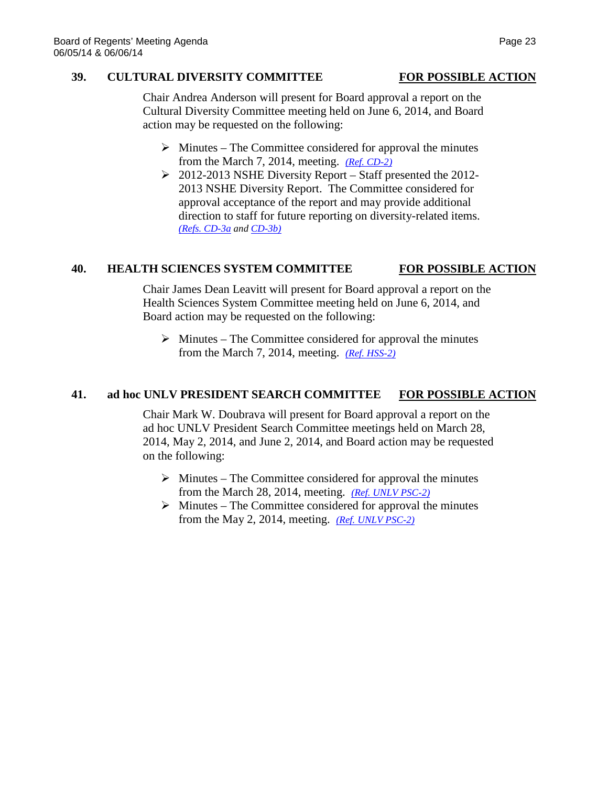### **39. CULTURAL DIVERSITY COMMITTEE FOR POSSIBLE ACTION**

Chair Andrea Anderson will present for Board approval a report on the Cultural Diversity Committee meeting held on June 6, 2014, and Board action may be requested on the following:

- $\triangleright$  Minutes The Committee considered for approval the minutes from the March 7, 2014, meeting. *[\(Ref. CD-2\)](http://system.nevada.edu/tasks/sites/Nshe/assets/File/BoardOfRegents/Agendas/2014/jun-mtgs/cd-refs/CD-2.pdf)*
- $\geq 2012-2013$  NSHE Diversity Report Staff presented the 2012-2013 NSHE Diversity Report. The Committee considered for approval acceptance of the report and may provide additional direction to staff for future reporting on diversity-related items. *[\(Refs. CD-3a](http://system.nevada.edu/tasks/sites/Nshe/assets/File/BoardOfRegents/Agendas/2014/jun-mtgs/cd-refs/CD-3a.pdf) and [CD-3b\)](http://system.nevada.edu/tasks/sites/Nshe/assets/File/BoardOfRegents/Agendas/2014/jun-mtgs/cd-refs/CD-3b.pdf)*

# **40. HEALTH SCIENCES SYSTEM COMMITTEE FOR POSSIBLE ACTION**

Chair James Dean Leavitt will present for Board approval a report on the Health Sciences System Committee meeting held on June 6, 2014, and Board action may be requested on the following:

 $\triangleright$  Minutes – The Committee considered for approval the minutes from the March 7, 2014, meeting. *[\(Ref. HSS-2\)](http://system.nevada.edu/tasks/sites/Nshe/assets/File/BoardOfRegents/Agendas/2014/jun-mtgs/hss-refs/HSS-2.pdf)*

# **41. ad hoc UNLV PRESIDENT SEARCH COMMITTEE FOR POSSIBLE ACTION**

Chair Mark W. Doubrava will present for Board approval a report on the ad hoc UNLV President Search Committee meetings held on March 28, 2014, May 2, 2014, and June 2, 2014, and Board action may be requested on the following:

- $\triangleright$  Minutes The Committee considered for approval the minutes from the March 28, 2014, meeting. *[\(Ref. UNLV PSC-2\)](http://system.nevada.edu/tasks/sites/Nshe/assets/File/BoardOfRegents/Agendas/2014/jun-mtgs/bor-refs/UNLV%20PSC-2%20March%2028.pdf)*
- $\triangleright$  Minutes The Committee considered for approval the minutes from the May 2, 2014, meeting. *[\(Ref. UNLV PSC-2\)](http://system.nevada.edu/tasks/sites/Nshe/assets/File/BoardOfRegents/Agendas/2014/jun-mtgs/unlvpsc-refs/UNLV%20PSC-2.pdf)*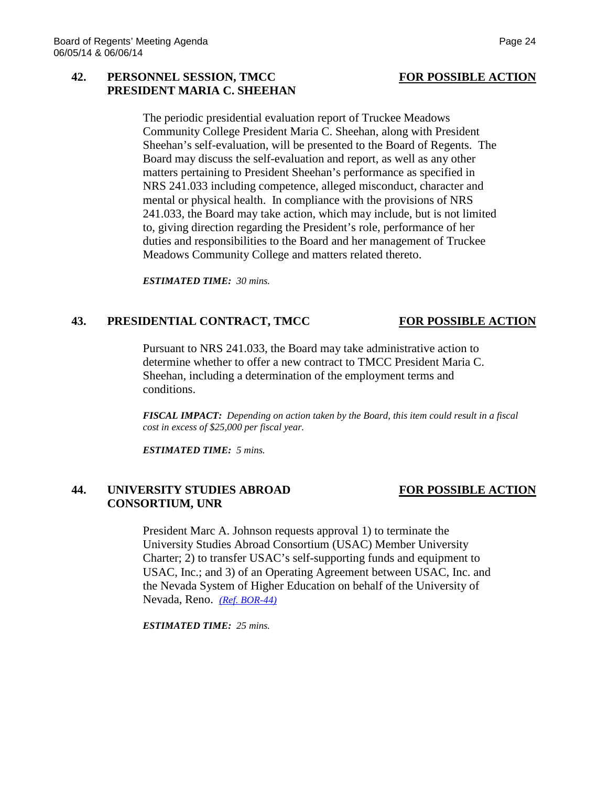## **42. PERSONNEL SESSION, TMCC FOR POSSIBLE ACTION PRESIDENT MARIA C. SHEEHAN**

The periodic presidential evaluation report of Truckee Meadows Community College President Maria C. Sheehan, along with President Sheehan's self-evaluation, will be presented to the Board of Regents. The Board may discuss the self-evaluation and report, as well as any other matters pertaining to President Sheehan's performance as specified in NRS 241.033 including competence, alleged misconduct, character and mental or physical health. In compliance with the provisions of NRS 241.033, the Board may take action, which may include, but is not limited to, giving direction regarding the President's role, performance of her duties and responsibilities to the Board and her management of Truckee Meadows Community College and matters related thereto.

*ESTIMATED TIME: 30 mins.*

### **43. PRESIDENTIAL CONTRACT, TMCC FOR POSSIBLE ACTION**

Pursuant to NRS 241.033, the Board may take administrative action to determine whether to offer a new contract to TMCC President Maria C. Sheehan, including a determination of the employment terms and conditions.

*FISCAL IMPACT: Depending on action taken by the Board, this item could result in a fiscal cost in excess of \$25,000 per fiscal year.*

*ESTIMATED TIME: 5 mins.*

### **44. UNIVERSITY STUDIES ABROAD FOR POSSIBLE ACTION CONSORTIUM, UNR**

President Marc A. Johnson requests approval 1) to terminate the University Studies Abroad Consortium (USAC) Member University Charter; 2) to transfer USAC's self-supporting funds and equipment to USAC, Inc.; and 3) of an Operating Agreement between USAC, Inc. and the Nevada System of Higher Education on behalf of the University of Nevada, Reno. *[\(Ref. BOR-44\)](http://system.nevada.edu/tasks/sites/Nshe/assets/File/BoardOfRegents/Agendas/2014/jun-mtgs/bor-refs/BOR-44.pdf)*

*ESTIMATED TIME: 25 mins.*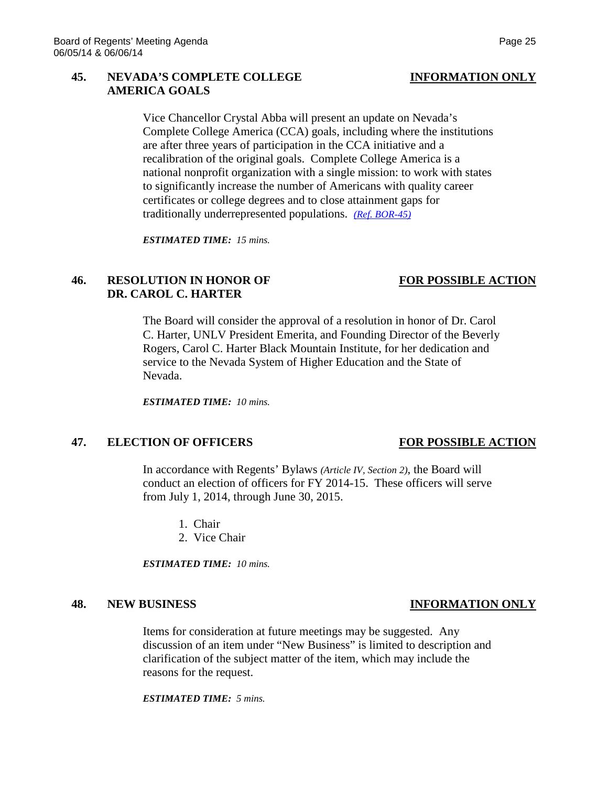## **45. NEVADA'S COMPLETE COLLEGE INFORMATION ONLY AMERICA GOALS**

Vice Chancellor Crystal Abba will present an update on Nevada's Complete College America (CCA) goals, including where the institutions are after three years of participation in the CCA initiative and a recalibration of the original goals. Complete College America is a national nonprofit organization with a single mission: to work with states to significantly increase the number of Americans with quality career certificates or college degrees and to close attainment gaps for traditionally underrepresented populations. *[\(Ref. BOR-45\)](http://system.nevada.edu/tasks/sites/Nshe/assets/File/BoardOfRegents/Agendas/2014/jun-mtgs/bor-refs/BOR-45.pdf)*

*ESTIMATED TIME: 15 mins.*

# **46. RESOLUTION IN HONOR OF FOR POSSIBLE ACTION DR. CAROL C. HARTER**

The Board will consider the approval of a resolution in honor of Dr. Carol C. Harter, UNLV President Emerita, and Founding Director of the Beverly Rogers, Carol C. Harter Black Mountain Institute, for her dedication and service to the Nevada System of Higher Education and the State of Nevada.

*ESTIMATED TIME: 10 mins.*

## **47. ELECTION OF OFFICERS FOR POSSIBLE ACTION**

In accordance with Regents' Bylaws *(Article IV, Section 2)*, the Board will conduct an election of officers for FY 2014-15. These officers will serve from July 1, 2014, through June 30, 2015.

- 1. Chair
- 2. Vice Chair

*ESTIMATED TIME: 10 mins.*

Items for consideration at future meetings may be suggested. Any discussion of an item under "New Business" is limited to description and clarification of the subject matter of the item, which may include the reasons for the request.

*ESTIMATED TIME: 5 mins.*

# **48. NEW BUSINESS INFORMATION ONLY**